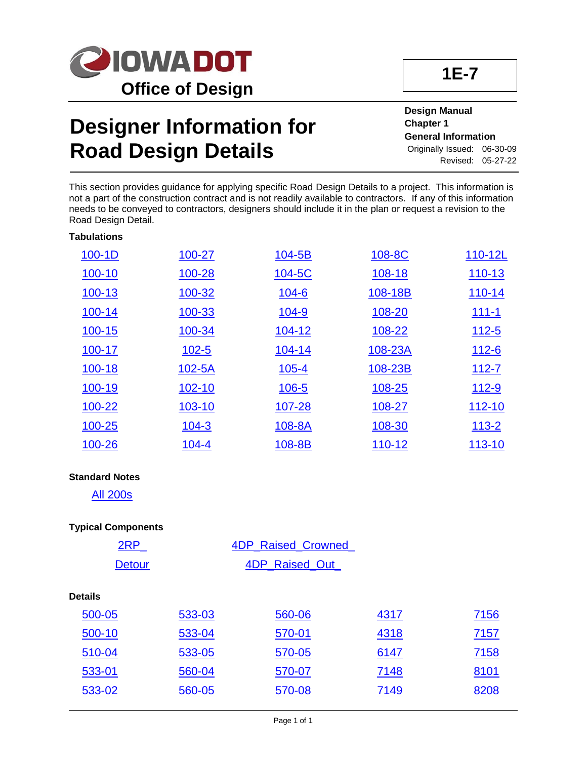

# **Designer Information for Road Design Details**

**Design Manual Chapter 1 General Information** Originally Issued: 06-30-09 Revised: 05-27-22

This section provides guidance for applying specific Road Design Details to a project. This information is not a part of the construction contract and is not readily available to contractors. If any of this information needs to be conveyed to contractors, designers should include it in the plan or request a revision to the Road Design Detail.

| $100-1D$   | 100-27    | 104-5B       | 108-8C  | 110-12L      |
|------------|-----------|--------------|---------|--------------|
| 100-10     | 100-28    | 104-5C       | 108-18  | 110-13       |
| 100-13     | 100-32    | $104 - 6$    | 108-18B | $110 - 14$   |
| 100-14     | 100-33    | <u>104-9</u> | 108-20  | $111 - 1$    |
| $100 - 15$ | 100-34    | $104 - 12$   | 108-22  | $112 - 5$    |
| 100-17     | $102 - 5$ | 104-14       | 108-23A | <u>112-6</u> |
| 100-18     | 102-5A    | $105 - 4$    | 108-23B | $112 - 7$    |
| 100-19     | 102-10    | $106 - 5$    | 108-25  | <u>112-9</u> |
| 100-22     | 103-10    | 107-28       | 108-27  | 112-10       |
| 100-25     | $104 - 3$ | 108-8A       | 108-30  | $113 - 2$    |
| 100-26     | $104 - 4$ | 108-8B       | 110-12  | 113-10       |

### **Standard Notes**

[All 200s](01E-09.pdf)

### **Typical Components**

| 2RP            |        | <b>4DP Raised Crowned</b> |      |             |
|----------------|--------|---------------------------|------|-------------|
| <b>Detour</b>  |        | 4DP_Raised_Out_           |      |             |
| <b>Details</b> |        |                           |      |             |
| 500-05         | 533-03 | 560-06                    | 4317 | <u>7156</u> |
| 500-10         | 533-04 | 570-01                    | 4318 | 7157        |
| 510-04         | 533-05 | 570-05                    | 6147 | 7158        |
| 533-01         | 560-04 | 570-07                    | 7148 | 8101        |
| 533-02         | 560-05 | 570-08                    | 7149 | 8208        |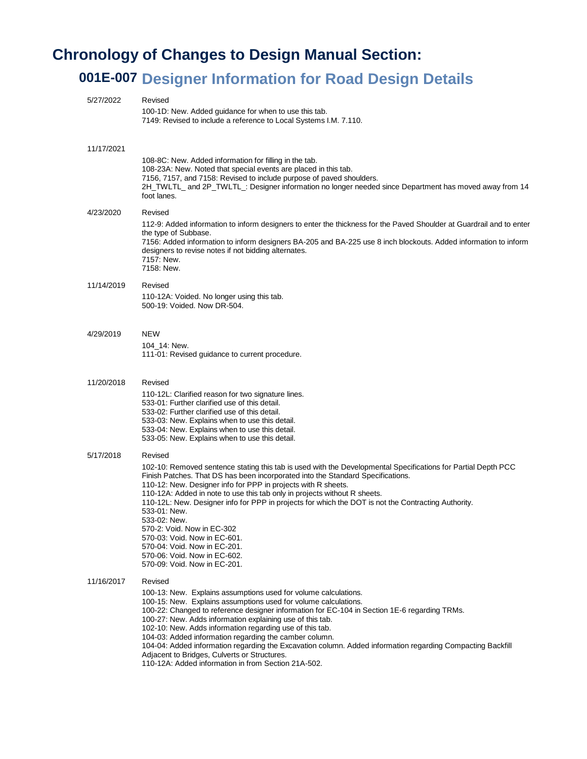## **Chronology of Changes to Design Manual Section:**

## **001E-007 Designer Information for Road Design Details**

| 100-1D: New. Added guidance for when to use this tab.<br>7149: Revised to include a reference to Local Systems I.M. 7.110.<br>11/17/2021<br>108-8C: New. Added information for filling in the tab.<br>108-23A: New. Noted that special events are placed in this tab.<br>7156, 7157, and 7158: Revised to include purpose of paved shoulders.<br>foot lanes.<br>4/23/2020<br>Revised<br>the type of Subbase.<br>7156: Added information to inform designers BA-205 and BA-225 use 8 inch blockouts. Added information to inform<br>designers to revise notes if not bidding alternates.<br>7157: New.<br>7158: New.<br>11/14/2019<br>Revised<br>110-12A: Voided. No longer using this tab.<br>500-19: Voided, Now DR-504.<br><b>NEW</b><br>4/29/2019<br>104 14: New.<br>111-01: Revised guidance to current procedure.<br>11/20/2018<br>Revised<br>110-12L: Clarified reason for two signature lines.<br>533-01: Further clarified use of this detail.<br>533-02: Further clarified use of this detail.<br>533-03: New. Explains when to use this detail.<br>533-04: New. Explains when to use this detail.<br>533-05: New. Explains when to use this detail.<br>Revised<br>5/17/2018<br>102-10: Removed sentence stating this tab is used with the Developmental Specifications for Partial Depth PCC<br>Finish Patches. That DS has been incorporated into the Standard Specifications.<br>110-12: New. Designer info for PPP in projects with R sheets.<br>110-12A: Added in note to use this tab only in projects without R sheets.<br>110-12L: New. Designer info for PPP in projects for which the DOT is not the Contracting Authority.<br>533-01: New.<br>533-02: New.<br>570-2: Void. Now in EC-302<br>570-03: Void. Now in EC-601.<br>570-04: Void. Now in EC-201.<br>570-06: Void. Now in EC-602.<br>570-09: Void. Now in EC-201.<br>11/16/2017<br>Revised<br>100-13: New. Explains assumptions used for volume calculations.<br>100-15: New. Explains assumptions used for volume calculations.<br>100-22: Changed to reference designer information for EC-104 in Section 1E-6 regarding TRMs.<br>100-27: New. Adds information explaining use of this tab.<br>102-10: New. Adds information regarding use of this tab.<br>104-03: Added information regarding the camber column.<br>104-04: Added information regarding the Excavation column. Added information regarding Compacting Backfill<br>Adjacent to Bridges, Culverts or Structures.<br>110-12A: Added information in from Section 21A-502. | 5/27/2022 | Revised                                                                                                              |
|---------------------------------------------------------------------------------------------------------------------------------------------------------------------------------------------------------------------------------------------------------------------------------------------------------------------------------------------------------------------------------------------------------------------------------------------------------------------------------------------------------------------------------------------------------------------------------------------------------------------------------------------------------------------------------------------------------------------------------------------------------------------------------------------------------------------------------------------------------------------------------------------------------------------------------------------------------------------------------------------------------------------------------------------------------------------------------------------------------------------------------------------------------------------------------------------------------------------------------------------------------------------------------------------------------------------------------------------------------------------------------------------------------------------------------------------------------------------------------------------------------------------------------------------------------------------------------------------------------------------------------------------------------------------------------------------------------------------------------------------------------------------------------------------------------------------------------------------------------------------------------------------------------------------------------------------------------------------------------------------------------------------------------------------------------------------------------------------------------------------------------------------------------------------------------------------------------------------------------------------------------------------------------------------------------------------------------------------------------------------------------------------------------------------------------------------------------------------------------------------------------------------|-----------|----------------------------------------------------------------------------------------------------------------------|
|                                                                                                                                                                                                                                                                                                                                                                                                                                                                                                                                                                                                                                                                                                                                                                                                                                                                                                                                                                                                                                                                                                                                                                                                                                                                                                                                                                                                                                                                                                                                                                                                                                                                                                                                                                                                                                                                                                                                                                                                                                                                                                                                                                                                                                                                                                                                                                                                                                                                                                                     |           |                                                                                                                      |
|                                                                                                                                                                                                                                                                                                                                                                                                                                                                                                                                                                                                                                                                                                                                                                                                                                                                                                                                                                                                                                                                                                                                                                                                                                                                                                                                                                                                                                                                                                                                                                                                                                                                                                                                                                                                                                                                                                                                                                                                                                                                                                                                                                                                                                                                                                                                                                                                                                                                                                                     |           | 2H_TWLTL_ and 2P_TWLTL_: Designer information no longer needed since Department has moved away from 14               |
|                                                                                                                                                                                                                                                                                                                                                                                                                                                                                                                                                                                                                                                                                                                                                                                                                                                                                                                                                                                                                                                                                                                                                                                                                                                                                                                                                                                                                                                                                                                                                                                                                                                                                                                                                                                                                                                                                                                                                                                                                                                                                                                                                                                                                                                                                                                                                                                                                                                                                                                     |           | 112-9: Added information to inform designers to enter the thickness for the Paved Shoulder at Guardrail and to enter |
|                                                                                                                                                                                                                                                                                                                                                                                                                                                                                                                                                                                                                                                                                                                                                                                                                                                                                                                                                                                                                                                                                                                                                                                                                                                                                                                                                                                                                                                                                                                                                                                                                                                                                                                                                                                                                                                                                                                                                                                                                                                                                                                                                                                                                                                                                                                                                                                                                                                                                                                     |           |                                                                                                                      |
|                                                                                                                                                                                                                                                                                                                                                                                                                                                                                                                                                                                                                                                                                                                                                                                                                                                                                                                                                                                                                                                                                                                                                                                                                                                                                                                                                                                                                                                                                                                                                                                                                                                                                                                                                                                                                                                                                                                                                                                                                                                                                                                                                                                                                                                                                                                                                                                                                                                                                                                     |           |                                                                                                                      |
|                                                                                                                                                                                                                                                                                                                                                                                                                                                                                                                                                                                                                                                                                                                                                                                                                                                                                                                                                                                                                                                                                                                                                                                                                                                                                                                                                                                                                                                                                                                                                                                                                                                                                                                                                                                                                                                                                                                                                                                                                                                                                                                                                                                                                                                                                                                                                                                                                                                                                                                     |           |                                                                                                                      |
|                                                                                                                                                                                                                                                                                                                                                                                                                                                                                                                                                                                                                                                                                                                                                                                                                                                                                                                                                                                                                                                                                                                                                                                                                                                                                                                                                                                                                                                                                                                                                                                                                                                                                                                                                                                                                                                                                                                                                                                                                                                                                                                                                                                                                                                                                                                                                                                                                                                                                                                     |           |                                                                                                                      |
|                                                                                                                                                                                                                                                                                                                                                                                                                                                                                                                                                                                                                                                                                                                                                                                                                                                                                                                                                                                                                                                                                                                                                                                                                                                                                                                                                                                                                                                                                                                                                                                                                                                                                                                                                                                                                                                                                                                                                                                                                                                                                                                                                                                                                                                                                                                                                                                                                                                                                                                     |           |                                                                                                                      |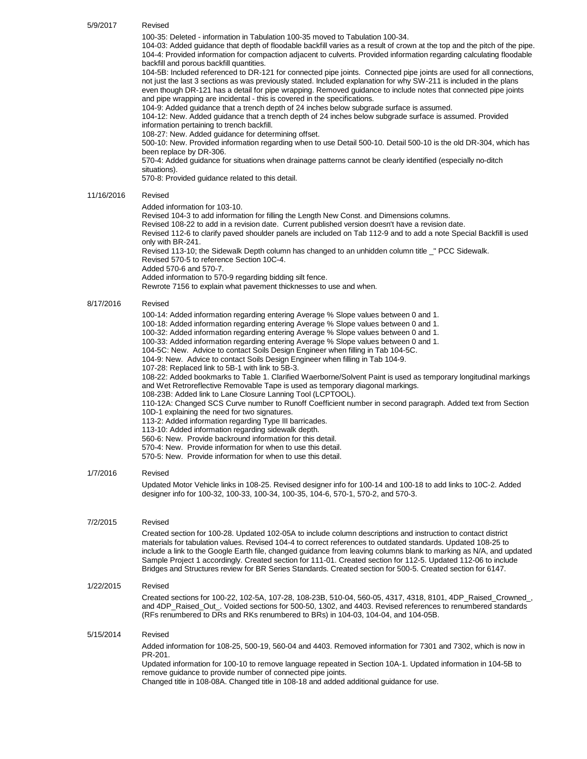| Revised |
|---------|
|         |

100-35: Deleted - information in Tabulation 100-35 moved to Tabulation 100-34.

104-03: Added guidance that depth of floodable backfill varies as a result of crown at the top and the pitch of the pipe. 104-4: Provided information for compaction adjacent to culverts. Provided information regarding calculating floodable backfill and porous backfill quantities.

104-5B: Included referenced to DR-121 for connected pipe joints. Connected pipe joints are used for all connections, not just the last 3 sections as was previously stated. Included explanation for why SW-211 is included in the plans even though DR-121 has a detail for pipe wrapping. Removed guidance to include notes that connected pipe joints and pipe wrapping are incidental - this is covered in the specifications.

104-9: Added guidance that a trench depth of 24 inches below subgrade surface is assumed.

104-12: New. Added guidance that a trench depth of 24 inches below subgrade surface is assumed. Provided information pertaining to trench backfill.

108-27: New. Added guidance for determining offset.

500-10: New. Provided information regarding when to use Detail 500-10. Detail 500-10 is the old DR-304, which has been replace by DR-306.

570-4: Added guidance for situations when drainage patterns cannot be clearly identified (especially no-ditch situations).

570-8: Provided guidance related to this detail.

#### 11/16/2016 Revised

#### Added information for 103-10.

Revised 104-3 to add information for filling the Length New Const. and Dimensions columns.

Revised 108-22 to add in a revision date. Current published version doesn't have a revision date.

Revised 112-6 to clarify paved shoulder panels are included on Tab 112-9 and to add a note Special Backfill is used only with BR-241.

Revised 113-10; the Sidewalk Depth column has changed to an unhidden column title " PCC Sidewalk. Revised 570-5 to reference Section 10C-4.

Added 570-6 and 570-7.

Added information to 570-9 regarding bidding silt fence.

Rewrote 7156 to explain what pavement thicknesses to use and when.

#### 8/17/2016 Revised

100-14: Added information regarding entering Average % Slope values between 0 and 1. 100-18: Added information regarding entering Average % Slope values between 0 and 1. 100-32: Added information regarding entering Average % Slope values between 0 and 1. 100-33: Added information regarding entering Average % Slope values between 0 and 1. 104-5C: New. Advice to contact Soils Design Engineer when filling in Tab 104-5C. 104-9: New. Advice to contact Soils Design Engineer when filling in Tab 104-9. 107-28: Replaced link to 5B-1 with link to 5B-3. 108-22: Added bookmarks to Table 1. Clarified Waerborne/Solvent Paint is used as temporary longitudinal markings and Wet Retroreflective Removable Tape is used as temporary diagonal markings. 108-23B: Added link to Lane Closure Lanning Tool (LCPTOOL). 110-12A: Changed SCS Curve number to Runoff Coefficient number in second paragraph. Added text from Section 10D-1 explaining the need for two signatures. 113-2: Added information regarding Type III barricades. 113-10: Added information regarding sidewalk depth. 560-6: New. Provide backround information for this detail. 570-4: New. Provide information for when to use this detail. 570-5: New. Provide information for when to use this detail.

#### 1/7/2016 Revised

Updated Motor Vehicle links in 108-25. Revised designer info for 100-14 and 100-18 to add links to 10C-2. Added designer info for 100-32, 100-33, 100-34, 100-35, 104-6, 570-1, 570-2, and 570-3.

#### 7/2/2015 Revised

Created section for 100-28. Updated 102-05A to include column descriptions and instruction to contact district materials for tabulation values. Revised 104-4 to correct references to outdated standards. Updated 108-25 to include a link to the Google Earth file, changed guidance from leaving columns blank to marking as N/A, and updated Sample Project 1 accordingly. Created section for 111-01. Created section for 112-5. Updated 112-06 to include Bridges and Structures review for BR Series Standards. Created section for 500-5. Created section for 6147.

#### 1/22/2015 Revised

Created sections for 100-22, 102-5A, 107-28, 108-23B, 510-04, 560-05, 4317, 4318, 8101, 4DP\_Raised\_Crowned\_, and 4DP\_Raised\_Out\_. Voided sections for 500-50, 1302, and 4403. Revised references to renumbered standards (RFs renumbered to DRs and RKs renumbered to BRs) in 104-03, 104-04, and 104-05B.

#### 5/15/2014 Revised

Added information for 108-25, 500-19, 560-04 and 4403. Removed information for 7301 and 7302, which is now in PR-201.

Updated information for 100-10 to remove language repeated in Section 10A-1. Updated information in 104-5B to remove guidance to provide number of connected pipe joints.

Changed title in 108-08A. Changed title in 108-18 and added additional guidance for use.